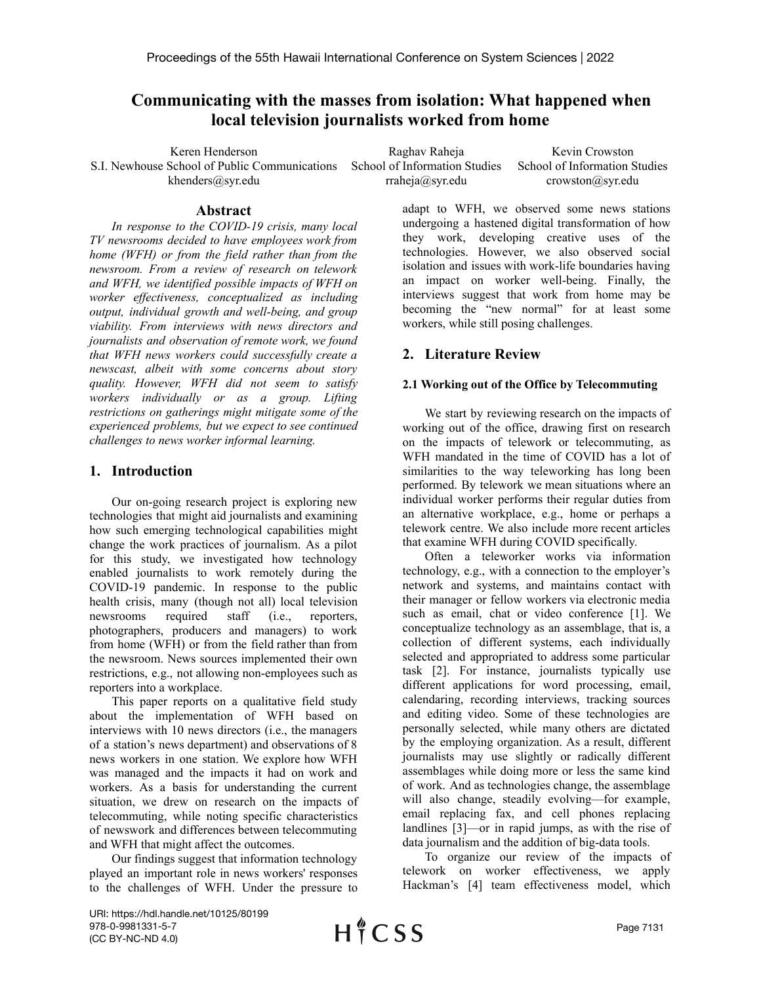# **Communicating with the masses from isolation: What happened when local television journalists worked from home**

Keren Henderson S.I. Newhouse School of Public Communications khenders@syr.edu

Raghav Raheja School of Information Studies rraheja@syr.edu

Kevin Crowston School of Information Studies crowston@syr.edu

# **Abstract**

*In response to the COVID-19 crisis, many local TV newsrooms decided to have employees work from home (WFH) or from the field rather than from the newsroom. From a review of research on telework and WFH, we identified possible impacts of WFH on worker ef ectiveness, conceptualized as including output, individual growth and well-being, and group viability. From interviews with news directors and journalists and observation of remote work, we found that WFH news workers could successfully create a newscast, albeit with some concerns about story quality. However, WFH did not seem to satisfy workers individually or as a group. Lifting restrictions on gatherings might mitigate some of the experienced problems, but we expect to see continued challenges to news worker informal learning.*

# **1. Introduction**

Our on-going research project is exploring new technologies that might aid journalists and examining how such emerging technological capabilities might change the work practices of journalism. As a pilot for this study, we investigated how technology enabled journalists to work remotely during the COVID-19 pandemic. In response to the public health crisis, many (though not all) local television newsrooms required staff (i.e., reporters, photographers, producers and managers) to work from home (WFH) or from the field rather than from the newsroom. News sources implemented their own restrictions, e.g., not allowing non-employees such as reporters into a workplace.

This paper reports on a qualitative field study about the implementation of WFH based on interviews with 10 news directors (i.e., the managers of a station's news department) and observations of 8 news workers in one station. We explore how WFH was managed and the impacts it had on work and workers. As a basis for understanding the current situation, we drew on research on the impacts of telecommuting, while noting specific characteristics of newswork and differences between telecommuting and WFH that might affect the outcomes.

Our findings suggest that information technology played an important role in news workers' responses to the challenges of WFH. Under the pressure to adapt to WFH, we observed some news stations undergoing a hastened digital transformation of how they work, developing creative uses of the technologies. However, we also observed social isolation and issues with work-life boundaries having an impact on worker well-being. Finally, the interviews suggest that work from home may be becoming the "new normal" for at least some workers, while still posing challenges.

# **2. Literature Review**

# **2.1 Working out of the Office by Telecommuting**

We start by reviewing research on the impacts of working out of the office, drawing first on research on the impacts of telework or telecommuting, as WFH mandated in the time of COVID has a lot of similarities to the way teleworking has long been performed. By telework we mean situations where an individual worker performs their regular duties from an alternative workplace, e.g., home or perhaps a telework centre. We also include more recent articles that examine WFH during COVID specifically.

Often a teleworker works via information technology, e.g., with a connection to the employer's network and systems, and maintains contact with their manager or fellow workers via electronic media such as email, chat or video conference [1]. We conceptualize technology as an assemblage, that is, a collection of different systems, each individually selected and appropriated to address some particular task [2]. For instance, journalists typically use different applications for word processing, email, calendaring, recording interviews, tracking sources and editing video. Some of these technologies are personally selected, while many others are dictated by the employing organization. As a result, different journalists may use slightly or radically different assemblages while doing more or less the same kind of work. And as technologies change, the assemblage will also change, steadily evolving—for example, email replacing fax, and cell phones replacing landlines [3]—or in rapid jumps, as with the rise of data journalism and the addition of big-data tools.

To organize our review of the impacts of telework on worker effectiveness, we apply Hackman's [4] team effectiveness model, which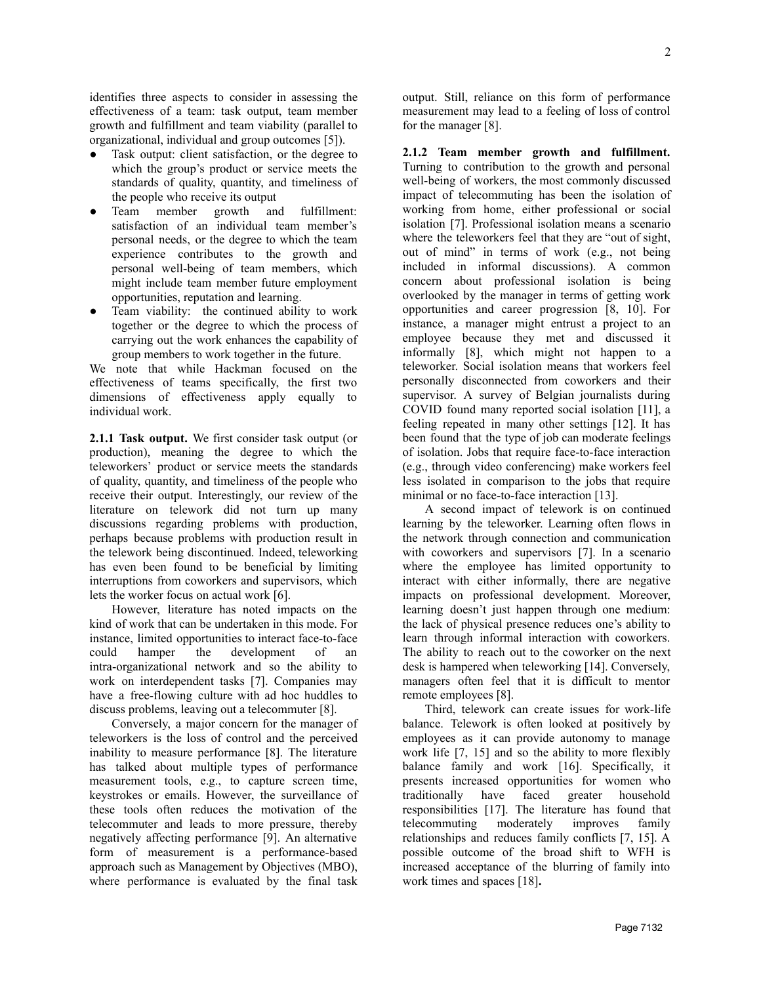identifies three aspects to consider in assessing the effectiveness of a team: task output, team member growth and fulfillment and team viability (parallel to organizational, individual and group outcomes [5]).

- Task output: client satisfaction, or the degree to which the group's product or service meets the standards of quality, quantity, and timeliness of the people who receive its output
- Team member growth and fulfillment: satisfaction of an individual team member's personal needs, or the degree to which the team experience contributes to the growth and personal well-being of team members, which might include team member future employment opportunities, reputation and learning.
- Team viability: the continued ability to work together or the degree to which the process of carrying out the work enhances the capability of group members to work together in the future.

We note that while Hackman focused on the effectiveness of teams specifically, the first two dimensions of effectiveness apply equally to individual work.

**2.1.1 Task output.** We first consider task output (or production), meaning the degree to which the teleworkers' product or service meets the standards of quality, quantity, and timeliness of the people who receive their output. Interestingly, our review of the literature on telework did not turn up many discussions regarding problems with production, perhaps because problems with production result in the telework being discontinued. Indeed, teleworking has even been found to be beneficial by limiting interruptions from coworkers and supervisors, which lets the worker focus on actual work [6].

However, literature has noted impacts on the kind of work that can be undertaken in this mode. For instance, limited opportunities to interact face-to-face could hamper the development of an intra-organizational network and so the ability to work on interdependent tasks [7]. Companies may have a free-flowing culture with ad hoc huddles to discuss problems, leaving out a telecommuter [8].

Conversely, a major concern for the manager of teleworkers is the loss of control and the perceived inability to measure performance [8]. The literature has talked about multiple types of performance measurement tools, e.g., to capture screen time, keystrokes or emails. However, the surveillance of these tools often reduces the motivation of the telecommuter and leads to more pressure, thereby negatively affecting performance [9]. An alternative form of measurement is a performance-based approach such as Management by Objectives (MBO), where performance is evaluated by the final task

output. Still, reliance on this form of performance measurement may lead to a feeling of loss of control for the manager [8].

**2.1.2 Team member growth and fulfillment.** Turning to contribution to the growth and personal well-being of workers, the most commonly discussed impact of telecommuting has been the isolation of working from home, either professional or social isolation [7]. Professional isolation means a scenario where the teleworkers feel that they are "out of sight, out of mind" in terms of work (e.g., not being included in informal discussions). A common concern about professional isolation is being overlooked by the manager in terms of getting work opportunities and career progression [8, 10]. For instance, a manager might entrust a project to an employee because they met and discussed it informally [8], which might not happen to a teleworker. Social isolation means that workers feel personally disconnected from coworkers and their supervisor. A survey of Belgian journalists during COVID found many reported social isolation [11], a feeling repeated in many other settings [12]. It has been found that the type of job can moderate feelings of isolation. Jobs that require face-to-face interaction (e.g., through video conferencing) make workers feel less isolated in comparison to the jobs that require minimal or no face-to-face interaction [13].

A second impact of telework is on continued learning by the teleworker. Learning often flows in the network through connection and communication with coworkers and supervisors [7]. In a scenario where the employee has limited opportunity to interact with either informally, there are negative impacts on professional development. Moreover, learning doesn't just happen through one medium: the lack of physical presence reduces one's ability to learn through informal interaction with coworkers. The ability to reach out to the coworker on the next desk is hampered when teleworking [14]. Conversely, managers often feel that it is difficult to mentor remote employees [8].

Third, telework can create issues for work-life balance. Telework is often looked at positively by employees as it can provide autonomy to manage work life [7, 15] and so the ability to more flexibly balance family and work [16]. Specifically, it presents increased opportunities for women who traditionally have faced greater household responsibilities [17]. The literature has found that telecommuting moderately improves family relationships and reduces family conflicts [7, 15]. A possible outcome of the broad shift to WFH is increased acceptance of the blurring of family into work times and spaces [18]**.**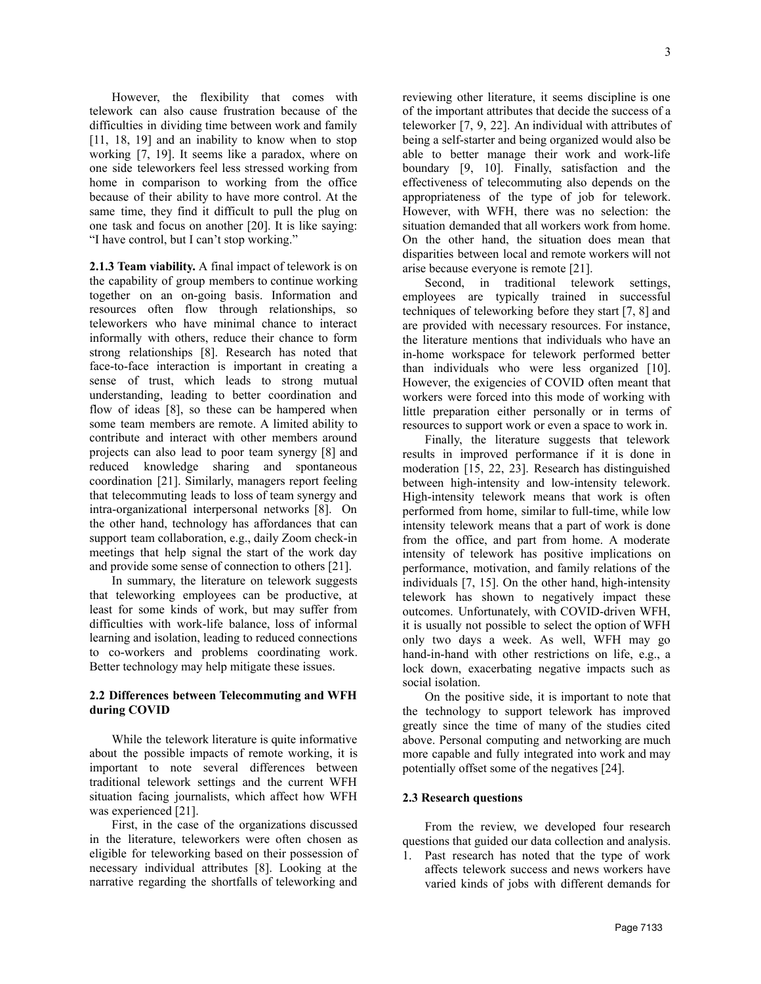3

However, the flexibility that comes with telework can also cause frustration because of the difficulties in dividing time between work and family [11, 18, 19] and an inability to know when to stop working [7, 19]. It seems like a paradox, where on one side teleworkers feel less stressed working from home in comparison to working from the office because of their ability to have more control. At the same time, they find it difficult to pull the plug on one task and focus on another [20]. It is like saying: "I have control, but I can't stop working."

**2.1.3 Team viability.** A final impact of telework is on the capability of group members to continue working together on an on-going basis. Information and resources often flow through relationships, so teleworkers who have minimal chance to interact informally with others, reduce their chance to form strong relationships [8]. Research has noted that face-to-face interaction is important in creating a sense of trust, which leads to strong mutual understanding, leading to better coordination and flow of ideas [8], so these can be hampered when some team members are remote. A limited ability to contribute and interact with other members around projects can also lead to poor team synergy [8] and reduced knowledge sharing and spontaneous coordination [21]. Similarly, managers report feeling that telecommuting leads to loss of team synergy and intra-organizational interpersonal networks [8]. On the other hand, technology has affordances that can support team collaboration, e.g., daily Zoom check-in meetings that help signal the start of the work day and provide some sense of connection to others [21].

In summary, the literature on telework suggests that teleworking employees can be productive, at least for some kinds of work, but may suffer from difficulties with work-life balance, loss of informal learning and isolation, leading to reduced connections to co-workers and problems coordinating work. Better technology may help mitigate these issues.

## **2.2 Differences between Telecommuting and WFH during COVID**

While the telework literature is quite informative about the possible impacts of remote working, it is important to note several differences between traditional telework settings and the current WFH situation facing journalists, which affect how WFH was experienced [21].

First, in the case of the organizations discussed in the literature, teleworkers were often chosen as eligible for teleworking based on their possession of necessary individual attributes [8]. Looking at the narrative regarding the shortfalls of teleworking and reviewing other literature, it seems discipline is one of the important attributes that decide the success of a teleworker [7, 9, 22]. An individual with attributes of being a self-starter and being organized would also be able to better manage their work and work-life boundary [9, 10]. Finally, satisfaction and the effectiveness of telecommuting also depends on the appropriateness of the type of job for telework. However, with WFH, there was no selection: the situation demanded that all workers work from home. On the other hand, the situation does mean that disparities between local and remote workers will not arise because everyone is remote [21].

Second, in traditional telework settings, employees are typically trained in successful techniques of teleworking before they start [7, 8] and are provided with necessary resources. For instance, the literature mentions that individuals who have an in-home workspace for telework performed better than individuals who were less organized [10]. However, the exigencies of COVID often meant that workers were forced into this mode of working with little preparation either personally or in terms of resources to support work or even a space to work in.

Finally, the literature suggests that telework results in improved performance if it is done in moderation [15, 22, 23]. Research has distinguished between high-intensity and low-intensity telework. High-intensity telework means that work is often performed from home, similar to full-time, while low intensity telework means that a part of work is done from the office, and part from home. A moderate intensity of telework has positive implications on performance, motivation, and family relations of the individuals [7, 15]. On the other hand, high-intensity telework has shown to negatively impact these outcomes. Unfortunately, with COVID-driven WFH, it is usually not possible to select the option of WFH only two days a week. As well, WFH may go hand-in-hand with other restrictions on life, e.g., a lock down, exacerbating negative impacts such as social isolation.

On the positive side, it is important to note that the technology to support telework has improved greatly since the time of many of the studies cited above. Personal computing and networking are much more capable and fully integrated into work and may potentially offset some of the negatives [24].

#### **2.3 Research questions**

From the review, we developed four research questions that guided our data collection and analysis.

1. Past research has noted that the type of work affects telework success and news workers have varied kinds of jobs with different demands for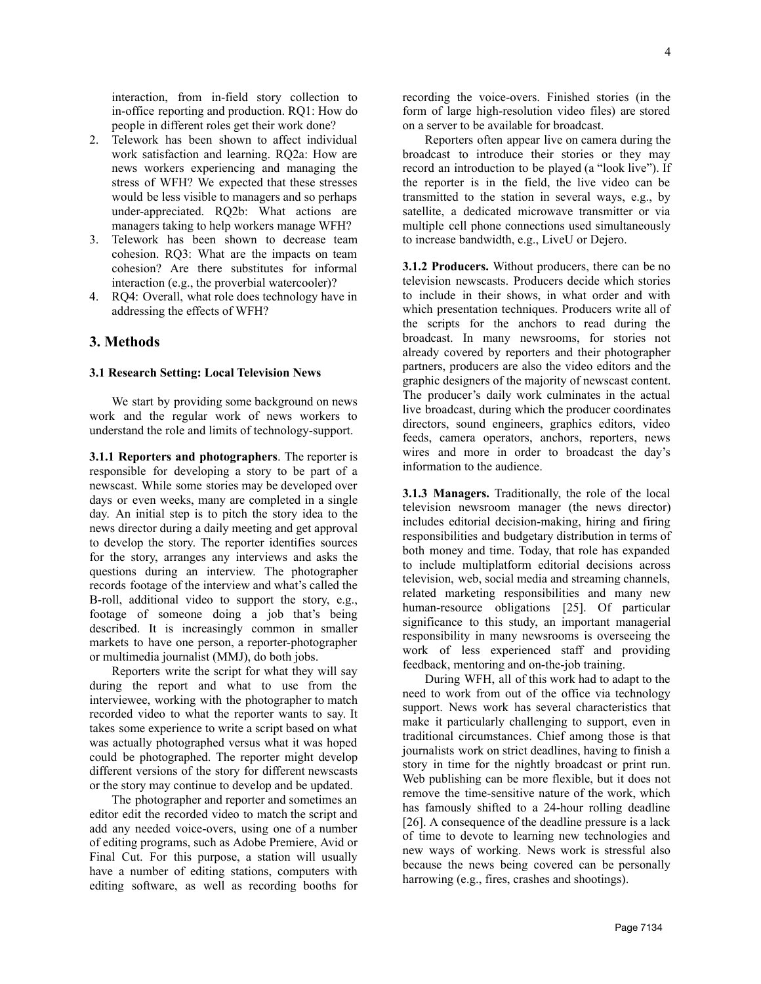interaction, from in-field story collection to in-office reporting and production. RQ1: How do people in different roles get their work done?

- 2. Telework has been shown to affect individual work satisfaction and learning. RQ2a: How are news workers experiencing and managing the stress of WFH? We expected that these stresses would be less visible to managers and so perhaps under-appreciated. RQ2b: What actions are managers taking to help workers manage WFH?
- 3. Telework has been shown to decrease team cohesion. RQ3: What are the impacts on team cohesion? Are there substitutes for informal interaction (e.g., the proverbial watercooler)?
- 4. RQ4: Overall, what role does technology have in addressing the effects of WFH?

# **3. Methods**

#### **3.1 Research Setting: Local Television News**

We start by providing some background on news work and the regular work of news workers to understand the role and limits of technology-support.

**3.1.1 Reporters and photographers**. The reporter is responsible for developing a story to be part of a newscast. While some stories may be developed over days or even weeks, many are completed in a single day. An initial step is to pitch the story idea to the news director during a daily meeting and get approval to develop the story. The reporter identifies sources for the story, arranges any interviews and asks the questions during an interview. The photographer records footage of the interview and what's called the B-roll, additional video to support the story, e.g., footage of someone doing a job that's being described. It is increasingly common in smaller markets to have one person, a reporter-photographer or multimedia journalist (MMJ), do both jobs.

Reporters write the script for what they will say during the report and what to use from the interviewee, working with the photographer to match recorded video to what the reporter wants to say. It takes some experience to write a script based on what was actually photographed versus what it was hoped could be photographed. The reporter might develop different versions of the story for different newscasts or the story may continue to develop and be updated.

The photographer and reporter and sometimes an editor edit the recorded video to match the script and add any needed voice-overs, using one of a number of editing programs, such as Adobe Premiere, Avid or Final Cut. For this purpose, a station will usually have a number of editing stations, computers with editing software, as well as recording booths for recording the voice-overs. Finished stories (in the form of large high-resolution video files) are stored on a server to be available for broadcast.

Reporters often appear live on camera during the broadcast to introduce their stories or they may record an introduction to be played (a "look live"). If the reporter is in the field, the live video can be transmitted to the station in several ways, e.g., by satellite, a dedicated microwave transmitter or via multiple cell phone connections used simultaneously to increase bandwidth, e.g., LiveU or Dejero.

**3.1.2 Producers.** Without producers, there can be no television newscasts. Producers decide which stories to include in their shows, in what order and with which presentation techniques. Producers write all of the scripts for the anchors to read during the broadcast. In many newsrooms, for stories not already covered by reporters and their photographer partners, producers are also the video editors and the graphic designers of the majority of newscast content. The producer's daily work culminates in the actual live broadcast, during which the producer coordinates directors, sound engineers, graphics editors, video feeds, camera operators, anchors, reporters, news wires and more in order to broadcast the day's information to the audience.

**3.1.3 Managers.** Traditionally, the role of the local television newsroom manager (the news director) includes editorial decision-making, hiring and firing responsibilities and budgetary distribution in terms of both money and time. Today, that role has expanded to include multiplatform editorial decisions across television, web, social media and streaming channels, related marketing responsibilities and many new human-resource obligations [25]. Of particular significance to this study, an important managerial responsibility in many newsrooms is overseeing the work of less experienced staff and providing feedback, mentoring and on-the-job training.

During WFH, all of this work had to adapt to the need to work from out of the office via technology support. News work has several characteristics that make it particularly challenging to support, even in traditional circumstances. Chief among those is that journalists work on strict deadlines, having to finish a story in time for the nightly broadcast or print run. Web publishing can be more flexible, but it does not remove the time-sensitive nature of the work, which has famously shifted to a 24-hour rolling deadline [26]. A consequence of the deadline pressure is a lack of time to devote to learning new technologies and new ways of working. News work is stressful also because the news being covered can be personally harrowing (e.g., fires, crashes and shootings).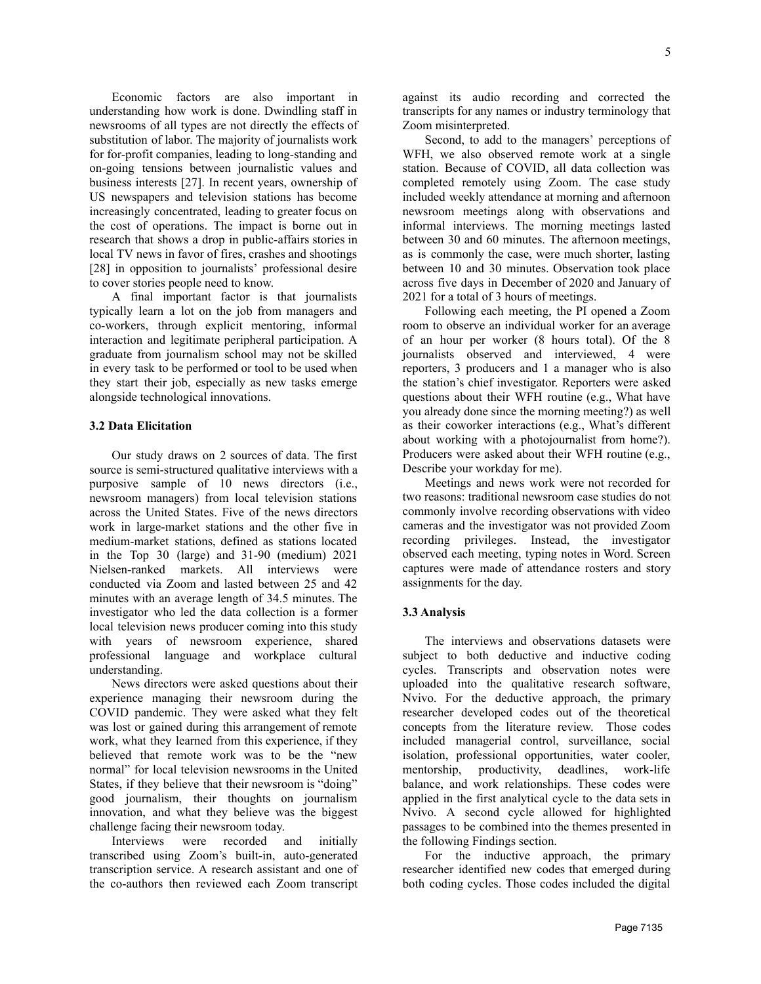Economic factors are also important in understanding how work is done. Dwindling staff in newsrooms of all types are not directly the effects of substitution of labor. The majority of journalists work for for-profit companies, leading to long-standing and on-going tensions between journalistic values and business interests [27]. In recent years, ownership of US newspapers and television stations has become increasingly concentrated, leading to greater focus on the cost of operations. The impact is borne out in research that shows a drop in public-affairs stories in local TV news in favor of fires, crashes and shootings [28] in opposition to journalists' professional desire to cover stories people need to know.

A final important factor is that journalists typically learn a lot on the job from managers and co-workers, through explicit mentoring, informal interaction and legitimate peripheral participation. A graduate from journalism school may not be skilled in every task to be performed or tool to be used when they start their job, especially as new tasks emerge alongside technological innovations.

#### **3.2 Data Elicitation**

Our study draws on 2 sources of data. The first source is semi-structured qualitative interviews with a purposive sample of 10 news directors (i.e., newsroom managers) from local television stations across the United States. Five of the news directors work in large-market stations and the other five in medium-market stations, defined as stations located in the Top 30 (large) and 31-90 (medium) 2021 Nielsen-ranked markets. All interviews were conducted via Zoom and lasted between 25 and 42 minutes with an average length of 34.5 minutes. The investigator who led the data collection is a former local television news producer coming into this study with years of newsroom experience, shared professional language and workplace cultural understanding.

News directors were asked questions about their experience managing their newsroom during the COVID pandemic. They were asked what they felt was lost or gained during this arrangement of remote work, what they learned from this experience, if they believed that remote work was to be the "new normal" for local television newsrooms in the United States, if they believe that their newsroom is "doing" good journalism, their thoughts on journalism innovation, and what they believe was the biggest challenge facing their newsroom today.

Interviews were recorded and initially transcribed using Zoom's built-in, auto-generated transcription service. A research assistant and one of the co-authors then reviewed each Zoom transcript against its audio recording and corrected the transcripts for any names or industry terminology that Zoom misinterpreted.

Second, to add to the managers' perceptions of WFH, we also observed remote work at a single station. Because of COVID, all data collection was completed remotely using Zoom. The case study included weekly attendance at morning and afternoon newsroom meetings along with observations and informal interviews. The morning meetings lasted between 30 and 60 minutes. The afternoon meetings, as is commonly the case, were much shorter, lasting between 10 and 30 minutes. Observation took place across five days in December of 2020 and January of 2021 for a total of 3 hours of meetings.

Following each meeting, the PI opened a Zoom room to observe an individual worker for an average of an hour per worker (8 hours total). Of the 8 journalists observed and interviewed, 4 were reporters, 3 producers and 1 a manager who is also the station's chief investigator. Reporters were asked questions about their WFH routine (e.g., What have you already done since the morning meeting?) as well as their coworker interactions (e.g., What's different about working with a photojournalist from home?). Producers were asked about their WFH routine (e.g., Describe your workday for me).

Meetings and news work were not recorded for two reasons: traditional newsroom case studies do not commonly involve recording observations with video cameras and the investigator was not provided Zoom recording privileges. Instead, the investigator observed each meeting, typing notes in Word. Screen captures were made of attendance rosters and story assignments for the day.

#### **3.3 Analysis**

The interviews and observations datasets were subject to both deductive and inductive coding cycles. Transcripts and observation notes were uploaded into the qualitative research software, Nvivo. For the deductive approach, the primary researcher developed codes out of the theoretical concepts from the literature review. Those codes included managerial control, surveillance, social isolation, professional opportunities, water cooler, mentorship, productivity, deadlines, work-life balance, and work relationships. These codes were applied in the first analytical cycle to the data sets in Nvivo. A second cycle allowed for highlighted passages to be combined into the themes presented in the following Findings section.

For the inductive approach, the primary researcher identified new codes that emerged during both coding cycles. Those codes included the digital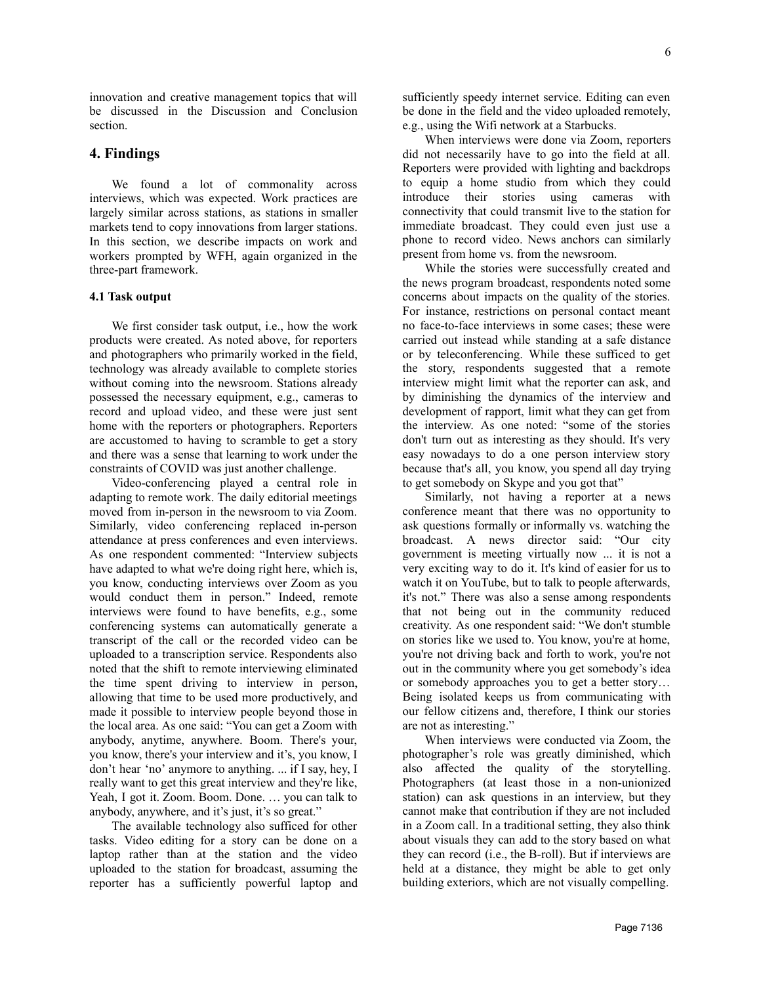innovation and creative management topics that will be discussed in the Discussion and Conclusion section.

# **4. Findings**

We found a lot of commonality across interviews, which was expected. Work practices are largely similar across stations, as stations in smaller markets tend to copy innovations from larger stations. In this section, we describe impacts on work and workers prompted by WFH, again organized in the three-part framework.

#### **4.1 Task output**

We first consider task output, i.e., how the work products were created. As noted above, for reporters and photographers who primarily worked in the field, technology was already available to complete stories without coming into the newsroom. Stations already possessed the necessary equipment, e.g., cameras to record and upload video, and these were just sent home with the reporters or photographers. Reporters are accustomed to having to scramble to get a story and there was a sense that learning to work under the constraints of COVID was just another challenge.

Video-conferencing played a central role in adapting to remote work. The daily editorial meetings moved from in-person in the newsroom to via Zoom. Similarly, video conferencing replaced in-person attendance at press conferences and even interviews. As one respondent commented: "Interview subjects have adapted to what we're doing right here, which is, you know, conducting interviews over Zoom as you would conduct them in person." Indeed, remote interviews were found to have benefits, e.g., some conferencing systems can automatically generate a transcript of the call or the recorded video can be uploaded to a transcription service. Respondents also noted that the shift to remote interviewing eliminated the time spent driving to interview in person, allowing that time to be used more productively, and made it possible to interview people beyond those in the local area. As one said: "You can get a Zoom with anybody, anytime, anywhere. Boom. There's your, you know, there's your interview and it's, you know, I don't hear 'no' anymore to anything. ... if I say, hey, I really want to get this great interview and they're like, Yeah, I got it. Zoom. Boom. Done. … you can talk to anybody, anywhere, and it's just, it's so great."

The available technology also sufficed for other tasks. Video editing for a story can be done on a laptop rather than at the station and the video uploaded to the station for broadcast, assuming the reporter has a sufficiently powerful laptop and sufficiently speedy internet service. Editing can even be done in the field and the video uploaded remotely, e.g., using the Wifi network at a Starbucks.

When interviews were done via Zoom, reporters did not necessarily have to go into the field at all. Reporters were provided with lighting and backdrops to equip a home studio from which they could introduce their stories using cameras with connectivity that could transmit live to the station for immediate broadcast. They could even just use a phone to record video. News anchors can similarly present from home vs. from the newsroom.

While the stories were successfully created and the news program broadcast, respondents noted some concerns about impacts on the quality of the stories. For instance, restrictions on personal contact meant no face-to-face interviews in some cases; these were carried out instead while standing at a safe distance or by teleconferencing. While these sufficed to get the story, respondents suggested that a remote interview might limit what the reporter can ask, and by diminishing the dynamics of the interview and development of rapport, limit what they can get from the interview. As one noted: "some of the stories don't turn out as interesting as they should. It's very easy nowadays to do a one person interview story because that's all, you know, you spend all day trying to get somebody on Skype and you got that"

Similarly, not having a reporter at a news conference meant that there was no opportunity to ask questions formally or informally vs. watching the broadcast. A news director said: "Our city government is meeting virtually now ... it is not a very exciting way to do it. It's kind of easier for us to watch it on YouTube, but to talk to people afterwards, it's not." There was also a sense among respondents that not being out in the community reduced creativity. As one respondent said: "We don't stumble on stories like we used to. You know, you're at home, you're not driving back and forth to work, you're not out in the community where you get somebody's idea or somebody approaches you to get a better story… Being isolated keeps us from communicating with our fellow citizens and, therefore, I think our stories are not as interesting."

When interviews were conducted via Zoom, the photographer's role was greatly diminished, which also affected the quality of the storytelling. Photographers (at least those in a non-unionized station) can ask questions in an interview, but they cannot make that contribution if they are not included in a Zoom call. In a traditional setting, they also think about visuals they can add to the story based on what they can record (i.e., the B-roll). But if interviews are held at a distance, they might be able to get only building exteriors, which are not visually compelling.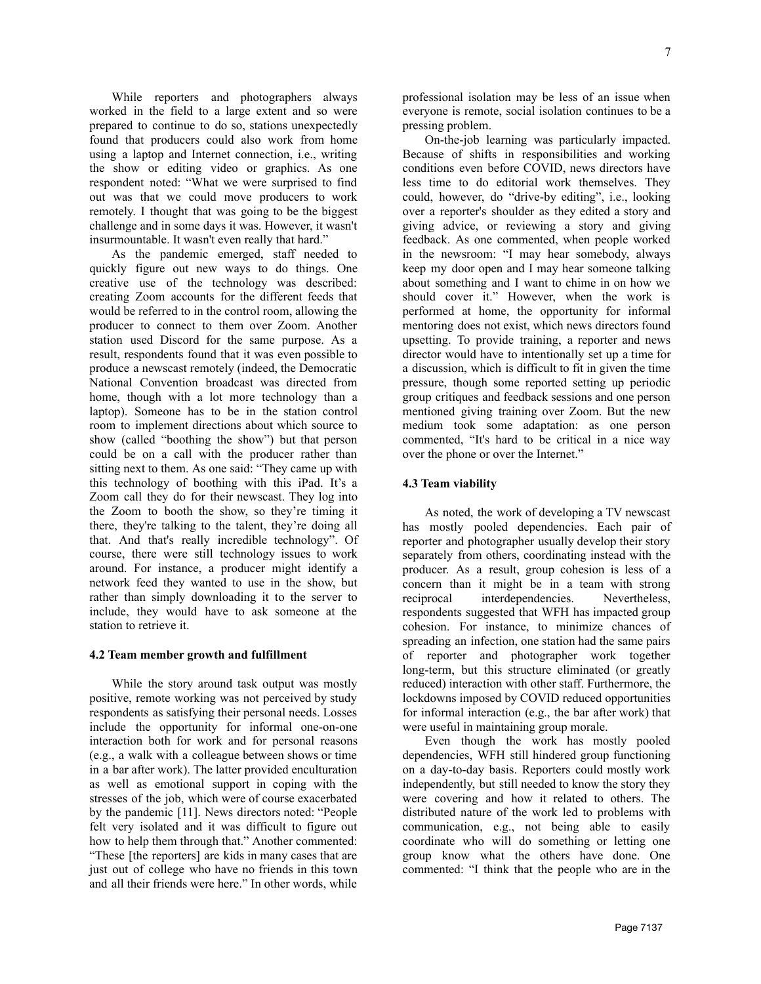While reporters and photographers always worked in the field to a large extent and so were prepared to continue to do so, stations unexpectedly found that producers could also work from home using a laptop and Internet connection, i.e., writing the show or editing video or graphics. As one respondent noted: "What we were surprised to find out was that we could move producers to work remotely. I thought that was going to be the biggest challenge and in some days it was. However, it wasn't insurmountable. It wasn't even really that hard."

As the pandemic emerged, staff needed to quickly figure out new ways to do things. One creative use of the technology was described: creating Zoom accounts for the different feeds that would be referred to in the control room, allowing the producer to connect to them over Zoom. Another station used Discord for the same purpose. As a result, respondents found that it was even possible to produce a newscast remotely (indeed, the Democratic National Convention broadcast was directed from home, though with a lot more technology than a laptop). Someone has to be in the station control room to implement directions about which source to show (called "boothing the show") but that person could be on a call with the producer rather than sitting next to them. As one said: "They came up with this technology of boothing with this iPad. It's a Zoom call they do for their newscast. They log into the Zoom to booth the show, so they're timing it there, they're talking to the talent, they're doing all that. And that's really incredible technology". Of course, there were still technology issues to work around. For instance, a producer might identify a network feed they wanted to use in the show, but rather than simply downloading it to the server to include, they would have to ask someone at the station to retrieve it.

#### **4.2 Team member growth and fulfillment**

While the story around task output was mostly positive, remote working was not perceived by study respondents as satisfying their personal needs. Losses include the opportunity for informal one-on-one interaction both for work and for personal reasons (e.g., a walk with a colleague between shows or time in a bar after work). The latter provided enculturation as well as emotional support in coping with the stresses of the job, which were of course exacerbated by the pandemic [11]. News directors noted: "People felt very isolated and it was difficult to figure out how to help them through that." Another commented: "These [the reporters] are kids in many cases that are just out of college who have no friends in this town and all their friends were here." In other words, while professional isolation may be less of an issue when everyone is remote, social isolation continues to be a pressing problem.

On-the-job learning was particularly impacted. Because of shifts in responsibilities and working conditions even before COVID, news directors have less time to do editorial work themselves. They could, however, do "drive-by editing", i.e., looking over a reporter's shoulder as they edited a story and giving advice, or reviewing a story and giving feedback. As one commented, when people worked in the newsroom: "I may hear somebody, always keep my door open and I may hear someone talking about something and I want to chime in on how we should cover it." However, when the work is performed at home, the opportunity for informal mentoring does not exist, which news directors found upsetting. To provide training, a reporter and news director would have to intentionally set up a time for a discussion, which is difficult to fit in given the time pressure, though some reported setting up periodic group critiques and feedback sessions and one person mentioned giving training over Zoom. But the new medium took some adaptation: as one person commented, "It's hard to be critical in a nice way over the phone or over the Internet."

## **4.3 Team viability**

As noted, the work of developing a TV newscast has mostly pooled dependencies. Each pair of reporter and photographer usually develop their story separately from others, coordinating instead with the producer. As a result, group cohesion is less of a concern than it might be in a team with strong reciprocal interdependencies. Nevertheless, respondents suggested that WFH has impacted group cohesion. For instance, to minimize chances of spreading an infection, one station had the same pairs of reporter and photographer work together long-term, but this structure eliminated (or greatly reduced) interaction with other staff. Furthermore, the lockdowns imposed by COVID reduced opportunities for informal interaction (e.g., the bar after work) that were useful in maintaining group morale.

Even though the work has mostly pooled dependencies, WFH still hindered group functioning on a day-to-day basis. Reporters could mostly work independently, but still needed to know the story they were covering and how it related to others. The distributed nature of the work led to problems with communication, e.g., not being able to easily coordinate who will do something or letting one group know what the others have done. One commented: "I think that the people who are in the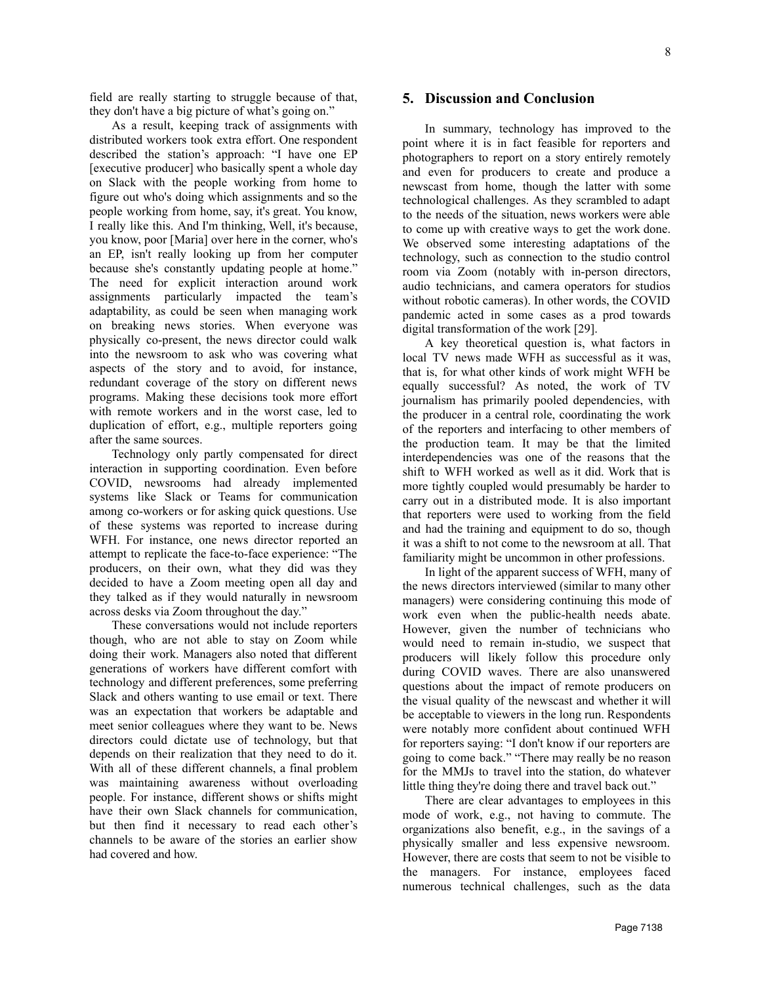field are really starting to struggle because of that, they don't have a big picture of what's going on."

As a result, keeping track of assignments with distributed workers took extra effort. One respondent described the station's approach: "I have one EP [executive producer] who basically spent a whole day on Slack with the people working from home to figure out who's doing which assignments and so the people working from home, say, it's great. You know, I really like this. And I'm thinking, Well, it's because, you know, poor [Maria] over here in the corner, who's an EP, isn't really looking up from her computer because she's constantly updating people at home." The need for explicit interaction around work assignments particularly impacted the team's adaptability, as could be seen when managing work on breaking news stories. When everyone was physically co-present, the news director could walk into the newsroom to ask who was covering what aspects of the story and to avoid, for instance, redundant coverage of the story on different news programs. Making these decisions took more effort with remote workers and in the worst case, led to duplication of effort, e.g., multiple reporters going after the same sources.

Technology only partly compensated for direct interaction in supporting coordination. Even before COVID, newsrooms had already implemented systems like Slack or Teams for communication among co-workers or for asking quick questions. Use of these systems was reported to increase during WFH. For instance, one news director reported an attempt to replicate the face-to-face experience: "The producers, on their own, what they did was they decided to have a Zoom meeting open all day and they talked as if they would naturally in newsroom across desks via Zoom throughout the day."

These conversations would not include reporters though, who are not able to stay on Zoom while doing their work. Managers also noted that different generations of workers have different comfort with technology and different preferences, some preferring Slack and others wanting to use email or text. There was an expectation that workers be adaptable and meet senior colleagues where they want to be. News directors could dictate use of technology, but that depends on their realization that they need to do it. With all of these different channels, a final problem was maintaining awareness without overloading people. For instance, different shows or shifts might have their own Slack channels for communication, but then find it necessary to read each other's channels to be aware of the stories an earlier show had covered and how.

### **5. Discussion and Conclusion**

In summary, technology has improved to the point where it is in fact feasible for reporters and photographers to report on a story entirely remotely and even for producers to create and produce a newscast from home, though the latter with some technological challenges. As they scrambled to adapt to the needs of the situation, news workers were able to come up with creative ways to get the work done. We observed some interesting adaptations of the technology, such as connection to the studio control room via Zoom (notably with in-person directors, audio technicians, and camera operators for studios without robotic cameras). In other words, the COVID pandemic acted in some cases as a prod towards digital transformation of the work [29].

A key theoretical question is, what factors in local TV news made WFH as successful as it was, that is, for what other kinds of work might WFH be equally successful? As noted, the work of TV journalism has primarily pooled dependencies, with the producer in a central role, coordinating the work of the reporters and interfacing to other members of the production team. It may be that the limited interdependencies was one of the reasons that the shift to WFH worked as well as it did. Work that is more tightly coupled would presumably be harder to carry out in a distributed mode. It is also important that reporters were used to working from the field and had the training and equipment to do so, though it was a shift to not come to the newsroom at all. That familiarity might be uncommon in other professions.

In light of the apparent success of WFH, many of the news directors interviewed (similar to many other managers) were considering continuing this mode of work even when the public-health needs abate. However, given the number of technicians who would need to remain in-studio, we suspect that producers will likely follow this procedure only during COVID waves. There are also unanswered questions about the impact of remote producers on the visual quality of the newscast and whether it will be acceptable to viewers in the long run. Respondents were notably more confident about continued WFH for reporters saying: "I don't know if our reporters are going to come back." "There may really be no reason for the MMJs to travel into the station, do whatever little thing they're doing there and travel back out."

There are clear advantages to employees in this mode of work, e.g., not having to commute. The organizations also benefit, e.g., in the savings of a physically smaller and less expensive newsroom. However, there are costs that seem to not be visible to the managers. For instance, employees faced numerous technical challenges, such as the data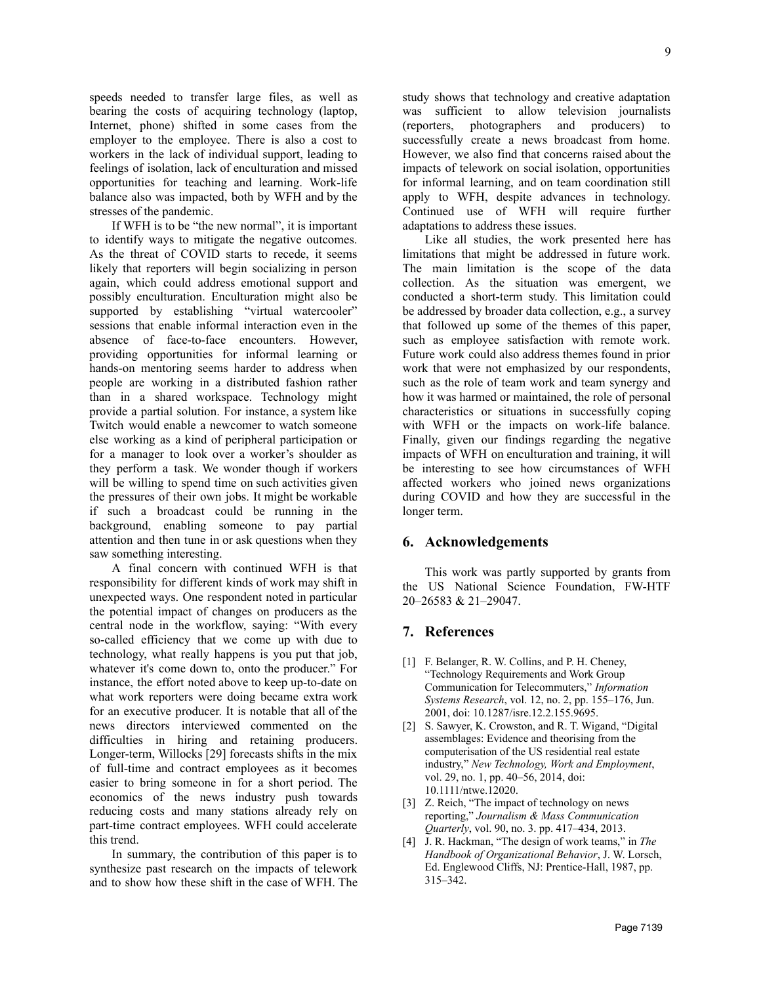speeds needed to transfer large files, as well as bearing the costs of acquiring technology (laptop, Internet, phone) shifted in some cases from the employer to the employee. There is also a cost to workers in the lack of individual support, leading to feelings of isolation, lack of enculturation and missed opportunities for teaching and learning. Work-life balance also was impacted, both by WFH and by the stresses of the pandemic.

If WFH is to be "the new normal", it is important to identify ways to mitigate the negative outcomes. As the threat of COVID starts to recede, it seems likely that reporters will begin socializing in person again, which could address emotional support and possibly enculturation. Enculturation might also be supported by establishing "virtual watercooler" sessions that enable informal interaction even in the absence of face-to-face encounters. However, providing opportunities for informal learning or hands-on mentoring seems harder to address when people are working in a distributed fashion rather than in a shared workspace. Technology might provide a partial solution. For instance, a system like Twitch would enable a newcomer to watch someone else working as a kind of peripheral participation or for a manager to look over a worker's shoulder as they perform a task. We wonder though if workers will be willing to spend time on such activities given the pressures of their own jobs. It might be workable if such a broadcast could be running in the background, enabling someone to pay partial attention and then tune in or ask questions when they saw something interesting.

A final concern with continued WFH is that responsibility for different kinds of work may shift in unexpected ways. One respondent noted in particular the potential impact of changes on producers as the central node in the workflow, saying: "With every so-called efficiency that we come up with due to technology, what really happens is you put that job, whatever it's come down to, onto the producer." For instance, the effort noted above to keep up-to-date on what work reporters were doing became extra work for an executive producer. It is notable that all of the news directors interviewed commented on the difficulties in hiring and retaining producers. Longer-term, Willocks [29] forecasts shifts in the mix of full-time and contract employees as it becomes easier to bring someone in for a short period. The economics of the news industry push towards reducing costs and many stations already rely on part-time contract employees. WFH could accelerate this trend.

In summary, the contribution of this paper is to synthesize past research on the impacts of telework and to show how these shift in the case of WFH. The study shows that technology and creative adaptation was sufficient to allow television journalists (reporters, photographers and producers) to successfully create a news broadcast from home. However, we also find that concerns raised about the impacts of telework on social isolation, opportunities for informal learning, and on team coordination still apply to WFH, despite advances in technology. Continued use of WFH will require further adaptations to address these issues.

Like all studies, the work presented here has limitations that might be addressed in future work. The main limitation is the scope of the data collection. As the situation was emergent, we conducted a short-term study. This limitation could be addressed by broader data collection, e.g., a survey that followed up some of the themes of this paper, such as employee satisfaction with remote work. Future work could also address themes found in prior work that were not emphasized by our respondents, such as the role of team work and team synergy and how it was harmed or maintained, the role of personal characteristics or situations in successfully coping with WFH or the impacts on work-life balance. Finally, given our findings regarding the negative impacts of WFH on enculturation and training, it will be interesting to see how circumstances of WFH affected workers who joined news organizations during COVID and how they are successful in the longer term.

## **6. Acknowledgements**

This work was partly supported by grants from the US National Science Foundation, FW-HTF 20–26583 & 21–29047.

# **7. References**

- [1] F. Belanger, R. W. Collins, and P. H. Cheney, "Technology Requirements and Work Group Communication for Telecommuters," *Information Systems Research*, vol. 12, no. 2, pp. 155–176, Jun. 2001, doi: 10.1287/isre.12.2.155.9695.
- [2] S. Sawyer, K. Crowston, and R. T. Wigand, "Digital assemblages: Evidence and theorising from the computerisation of the US residential real estate industry," *New Technology, Work and Employment*, vol. 29, no. 1, pp. 40–56, 2014, doi: 10.1111/ntwe.12020.
- [3] Z. Reich, "The impact of technology on news reporting," *Journalism & Mass Communication Quarterly*, vol. 90, no. 3. pp. 417–434, 2013.
- [4] J. R. Hackman, "The design of work teams," in *The Handbook of Organizational Behavior*, J. W. Lorsch, Ed. Englewood Cliffs, NJ: Prentice-Hall, 1987, pp. 315–342.